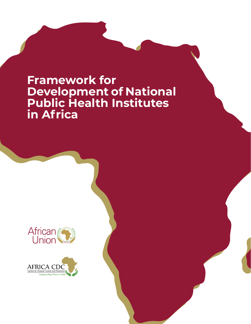# **Framework for Development of National Public Health Institutes in Africa**



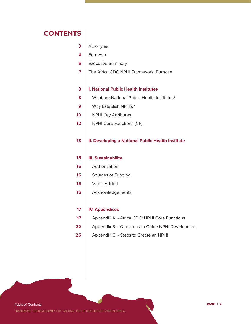### **CONTENTS**

| Acronyms |
|----------|
|----------|

- Foreword **4**
- Executive Summary **6**
- The Africa CDC NPHI Framework: Purpose **7**

#### **I. National Public Health Institutes 8**

- What are National Public Health Institutes? **8**
- Why Establish NPHIs? **9**
- NPHI Key Attributes **10**
- NPHI Core Functions (CF) **12**

#### **II. Developing a National Public Health Institute 13**

- **III. Sustainability 15**
- Authorization **15**
- Sources of Funding **15**
- Value-Added **16**
- Acknowledgements **16**

#### **IV. Appendices 17**

- Appendix A. Africa CDC: NPHI Core Functions **17**
- Appendix B. Questions to Guide NPHI Development **22**
- Appendix C. Steps to Create an NPHI **25**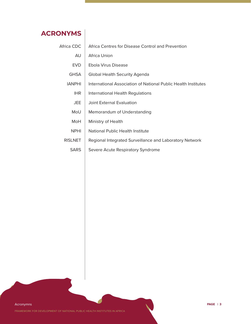# **ACRONYMS**

| Africa CDC     | Africa Centres for Disease Control and Prevention              |
|----------------|----------------------------------------------------------------|
| AU             | Africa Union                                                   |
| EVD.           | Ebola Virus Disease                                            |
| <b>GHSA</b>    | Global Health Security Agenda                                  |
| <b>IANPHI</b>  | International Association of National Public Health Institutes |
| <b>IHR</b>     | International Health Regulations                               |
| <b>JEE</b>     | Joint External Evaluation                                      |
| MoU            | Memorandum of Understanding                                    |
| MoH            | Ministry of Health                                             |
| <b>NPHI</b>    | National Public Health Institute                               |
| <b>RISLNET</b> | Regional Integrated Surveillance and Laboratory Network        |
| <b>SARS</b>    | Severe Acute Respiratory Syndrome                              |
|                |                                                                |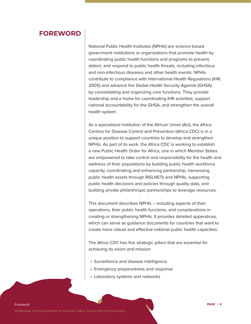### **FOREWORD**

National Public Health Institutes (NPHIs) are science-based government institutions or organizations that promote health by coordinating public health functions and programs to prevent, detect, and respond to public health threats, including infectious and non-infectious diseases and other health events. NPHIs contribute to compliance with International Health Regulations (IHR, 2005) and advance the Global Health Security Agenda (GHSA) by consolidating and organizing core functions. They provide leadership and a home for coordinating IHR activities, support national accountability for the GHSA, and strengthen the overall health system.

As a specialized institution of the African Union (AU), the Africa Centres for Disease Control and Prevention (Africa CDC) is in a unique position to support countries to develop and strengthen NPHIs. As part of its work, the Africa CDC is working to establish a new Public Health Order for Africa, one in which Member States are empowered to take control and responsibility for the health and wellness of their populations by building public health workforce capacity, coordinating and enhancing partnership, harnessing public health assets through RISLNETs and NPHIs, supporting public health decisions and policies through quality data, and building private philanthropic partnerships to leverage resources.

This document describes NPHIs – including aspects of their operations, their public health functions, and considerations in creating or strengthening NPHIs. It provides detailed appendices, which can serve as guidance documents for countries that want to create more robust and effective national public health capacities.

The Africa CDC has five strategic pillars that are essential for achieving its vision and mission:

- Surveillance and disease intelligence
- Emergency preparedness and response
- Laboratory systems and networks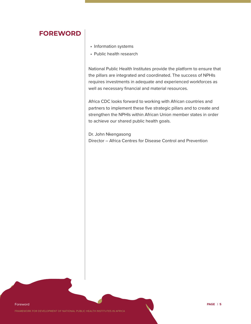### **FOREWORD**

- Information systems
- Public health research

National Public Health Institutes provide the platform to ensure that the pillars are integrated and coordinated. The success of NPHIs requires investments in adequate and experienced workforces as well as necessary financial and material resources.

Africa CDC looks forward to working with African countries and partners to implement these five strategic pillars and to create and strengthen the NPHIs within African Union member states in order to achieve our shared public health goals.

Dr. John Nkengasong Director – Africa Centres for Disease Control and Prevention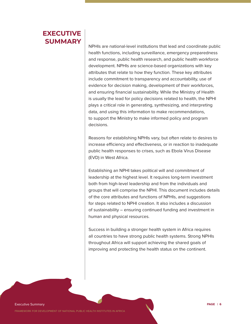# **EXECUTIVE SUMMARY**

NPHIs are national-level institutions that lead and coordinate public health functions, including surveillance, emergency preparedness and response, public health research, and public health workforce development. NPHIs are science-based organizations with key attributes that relate to how they function. These key attributes include commitment to transparency and accountability, use of evidence for decision making, development of their workforces, and ensuring financial sustainability. While the Ministry of Health is usually the lead for policy decisions related to health, the NPHI plays a critical role in generating, synthesizing, and interpreting data, and using this information to make recommendations, to support the Ministry to make informed policy and program decisions.

Reasons for establishing NPHIs vary, but often relate to desires to increase efficiency and effectiveness, or in reaction to inadequate public health responses to crises, such as Ebola Virus Disease (EVD) in West Africa.

Establishing an NPHI takes political will and commitment of leadership at the highest level. It requires long-term investment both from high-level leadership and from the individuals and groups that will comprise the NPHI. This document includes details of the core attributes and functions of NPHIs, and suggestions for steps related to NPHI creation. It also includes a discussion of sustainability – ensuring continued funding and investment in human and physical resources.

Success in building a stronger health system in Africa requires all countries to have strong public health systems. Strong NPHIs throughout Africa will support achieving the shared goals of improving and protecting the health status on the continent.

Executive Summary **PAGE | 6**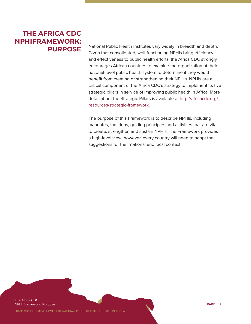# **THE AFRICA CDC NPHI FRAMEWORK: PURPOSE**

National Public Health Institutes vary widely in breadth and depth. Given that consolidated, well-functioning NPHIs bring efficiency and effectiveness to public health efforts, the Africa CDC strongly encourages African countries to examine the organization of their national-level public health system to determine if they would benefit from creating or strengthening their NPHIs. NPHIs are a critical component of the Africa CDC's strategy to implement its five strategic pillars in service of improving public health in Africa. More detail about the Strategic Pillars is available at http://africacdc.org/ resources/strategic-framework.

The purpose of this Framework is to describe NPHIs, including mandates, functions, guiding principles and activities that are vital to create, strengthen and sustain NPHIs. The Framework provides a high-level view; however, every country will need to adapt the suggestions for their national and local context.

The Africa CDC NPHI Framework: Purpose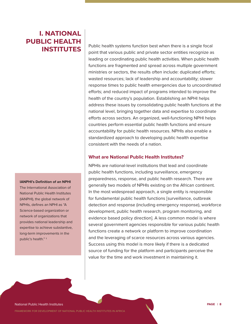# **I. NATIONAL PUBLIC HEALTH INSTITUTES**

### **IANPHI's Definition of an NPHI**

The International Association of National Public Health Institutes (IANPHI), the global network of NPHIs, defines an NPHI as "A Science-based organization or network of organizations that provides national leadership and expertise to achieve substantive, long-term improvements in the public's health." 1

Public health systems function best when there is a single focal point that various public and private sector entities recognize as leading or coordinating public health activities. When public health functions are fragmented and spread across multiple government ministries or sectors, the results often include: duplicated efforts; wasted resources; lack of leadership and accountability; slower response times to public health emergencies due to uncoordinated efforts; and reduced impact of programs intended to improve the health of the country's population. Establishing an NPHI helps address these issues by consolidating public health functions at the national level, bringing together data and expertise to coordinate efforts across sectors. An organized, well-functioning NPHI helps countries perform essential public health functions and ensure accountability for public health resources. NPHIs also enable a standardized approach to developing public health expertise consistent with the needs of a nation.

### **What are National Public Health Institutes?**

NPHIs are national-level institutions that lead and coordinate public health functions, including surveillance, emergency preparedness, response, and public health research. There are generally two models of NPHIs existing on the African continent. In the most widespread approach, a single entity is responsible for fundamental public health functions [surveillance, outbreak detection and response (including emergency response), workforce development, public health research, program monitoring, and evidence based policy direction]. A less common model is where several government agencies responsible for various public health functions create a network or platform to improve coordination and the leveraging of scarce resources across various agencies. Success using this model is more likely if there is a dedicated source of funding for the platform and participants perceive the value for the time and work investment in maintaining it.

National Public Health Institutes **PAGE | 8**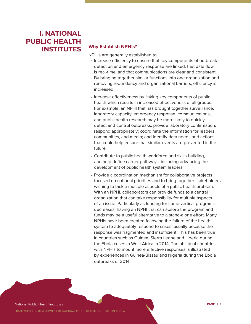# **I. NATIONAL PUBLIC HEALTH INSTITUTES**

### **Why Establish NPHIs?**

NPHIs are generally established to:

- Increase efficiency to ensure that key components of outbreak detection and emergency response are linked, that data flow is real-time, and that communications are clear and consistent. By bringing together similar functions into one organization and removing redundancy and organizational barriers, efficiency is increased.
- Increase effectiveness by linking key components of public health which results in increased effectiveness of all groups. For example, an NPHI that has brought together surveillance, laboratory capacity, emergency response, communications, and public health research may be more likely to quickly detect and control outbreaks; provide laboratory confirmation; respond appropriately; coordinate the information for leaders, communities, and media; and identify data needs and actions that could help ensure that similar events are prevented in the future.
- Contribute to public health workforce and skills-building, and help define career pathways, including advancing the development of public health system leaders.
- Provide a coordination mechanism for collaborative projects focused on national priorities and to bring together stakeholders wishing to tackle multiple aspects of a public health problem. With an NPHI, collaborators can provide funds to a central organization that can take responsibility for multiple aspects of an issue. Particularly as funding for some vertical programs decreases, having an NPHI that can absorb the program and funds may be a useful alternative to a stand-alone effort. Many NPHIs have been created following the failure of the health system to adequately respond to crises, usually because the response was fragmented and insufficient. This has been true in countries such as Guinea, Sierra Leone and Liberia during the Ebola crises in West Africa in 2014. The ability of countries with NPHIs to mount more effective responses is illustrated by experiences in Guinea-Bissau and Nigeria during the Ebola outbreaks of 2014.

National Public Health Institutes **PAGE | 9**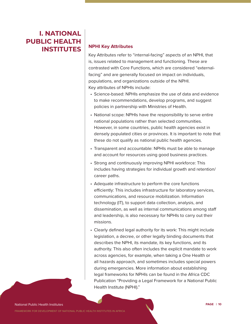# **I. NATIONAL PUBLIC HEALTH INSTITUTES** | NPHI Key Attributes

Key Attributes refer to "internal-facing" aspects of an NPHI, that is, issues related to management and functioning. These are contrasted with Core Functions, which are considered "externalfacing" and are generally focused on impact on individuals, populations, and organizations outside of the NPHI. Key attributes of NPHIs include:

- Science-based: NPHIs emphasize the use of data and evidence to make recommendations, develop programs, and suggest policies in partnership with Ministries of Health.
- National scope: NPHIs have the responsibility to serve entire national populations rather than selected communities. However, in some countries, public health agencies exist in densely populated cities or provinces. It is important to note that these do not qualify as national public health agencies.
- Transparent and accountable: NPHIs must be able to manage and account for resources using good business practices.
- Strong and continuously improving NPHI workforce: This includes having strategies for individual growth and retention/ career paths.
- Adequate infrastructure to perform the core functions efficiently: This includes infrastructure for laboratory services, communications, and resource mobilization. Information technology (IT), to support data collection, analysis, and dissemination, as well as internal communications among staff and leadership, is also necessary for NPHIs to carry out their missions.
- Clearly defined legal authority for its work: This might include legislation, a decree, or other legally binding documents that describes the NPHI, its mandate, its key functions, and its authority. This also often includes the explicit mandate to work across agencies, for example, when taking a One Health or all hazards approach, and sometimes includes special powers during emergencies. More information about establishing legal frameworks for NPHIs can be found in the Africa CDC Publication "Providing a Legal Framework for a National Public Health Institute (NPHI)."

#### National Public Health Institutes **PAGE | 10**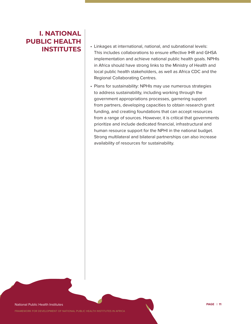# **I. NATIONAL PUBLIC HEALTH INSTITUTES**

- Linkages at international, national, and subnational levels: This includes collaborations to ensure effective IHR and GHSA implementation and achieve national public health goals. NPHIs in Africa should have strong links to the Ministry of Health and local public health stakeholders, as well as Africa CDC and the Regional Collaborating Centres.
- Plans for sustainability: NPHIs may use numerous strategies to address sustainability, including working through the government appropriations processes, garnering support from partners, developing capacities to obtain research grant funding, and creating foundations that can accept resources from a range of sources. However, it is critical that governments prioritize and include dedicated financial, infrastructural and human resource support for the NPHI in the national budget. Strong multilateral and bilateral partnerships can also increase availability of resources for sustainability.

National Public Health Institutes **PAGE | 11**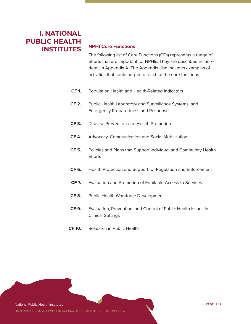# **I. NATIONAL PUBLIC HEALTH INSTITUTES**

### **NPHI Core Functions**

The following list of Core Functions (CFs) represents a range of efforts that are important for NPHIs. They are described in more detail in Appendix A. The Appendix also includes examples of activities that could be part of each of the core functions.

| <b>CF1.</b>   | Population Health and Health-Related Indicators                                                      |
|---------------|------------------------------------------------------------------------------------------------------|
| <b>CF 2.</b>  | Public Health Laboratory and Surveillance Systems, and<br><b>Emergency Preparedness and Response</b> |
| CF 3.         | Disease Prevention and Health Promotion                                                              |
| <b>CF4.</b>   | Advocacy, Communication and Social Mobilization                                                      |
| <b>CF 5.</b>  | Policies and Plans that Support Individual and Community Health<br><b>Efforts</b>                    |
| <b>CF 6.</b>  | Health Protection and Support for Regulation and Enforcement                                         |
| <b>CF7.</b>   | Evaluation and Promotion of Equitable Access to Services                                             |
| <b>CF8.</b>   | Public Health Workforce Development                                                                  |
| <b>CF 9.</b>  | Evaluation, Prevention, and Control of Public Health Issues in<br><b>Clinical Settings</b>           |
| <b>CF 10.</b> | Research in Public Health                                                                            |

National Public Health Institutes **PAGE | 12**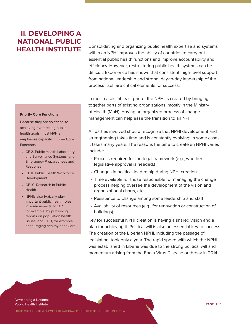# **II. DEVELOPING A NATIONAL PUBLIC HEALTH INSTITUTE**

#### **Priority Core Functions**

Because they are so critical to achieving overarching public health goals, most NPHIs emphasize capacity in three Core Functions:

- CF 2. Public Health Laboratory and Surveillance Systems, and Emergency Preparedness and Response
- CF 8. Public Health Workforce Development
- CF 10. Research in Public Health
- NPHIs also typically play important public health roles in some aspects of CF 1, for example, by publishing reports on population health issues, and CF 3, for example, encouraging healthy behaviors.

Consolidating and organizing public health expertise and systems within an NPHI improves the ability of countries to carry out essential public health functions and improve accountability and efficiency. However, restructuring public health systems can be difficult. Experience has shown that consistent, high-level support from national leadership and strong, day-to-day leadership of the process itself are critical elements for success.

In most cases, at least part of the NPHI is created by bringing together parts of existing organizations, mostly in the Ministry of Health (MoH). Having an organized process of change management can help ease the transition to an NPHI.

All parties involved should recognize that NPHI development and strengthening takes time and is constantly evolving; in some cases it takes many years. The reasons the time to create an NPHI varies include:

- Process required for the legal framework (e.g., whether legislative approval is needed.)
- Changes in political leadership during NPHI creation
- Time available for those responsible for managing the change process helping oversee the development of the vision and organizational charts, etc.
- Resistance to change among some leadership and staff
- Availability of resources (e.g., for renovation or construction of buildings)

Key for successful NPHI creation is having a shared vision and a plan for achieving it. Political will is also an essential key to success. The creation of the Liberian NPHI, including the passage of legislation, took only a year. The rapid speed with which the NPHI was established in Liberia was due to the strong political will and momentum arising from the Ebola Virus Disease outbreak in 2014.

Developing a National Public Health Institute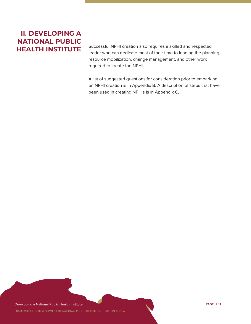# **II. DEVELOPING A NATIONAL PUBLIC**

**HEALTH INSTITUTE** | Successful NPHI creation also requires a skilled and respected leader who can dedicate most of their time to leading the planning, resource mobilization, change management, and other work required to create the NPHI.

> A list of suggested questions for consideration prior to embarking on NPHI creation is in Appendix B. A description of steps that have been used in creating NPHIs is in Appendix C.

Developing a National Public Health Institute **PAGE | 14**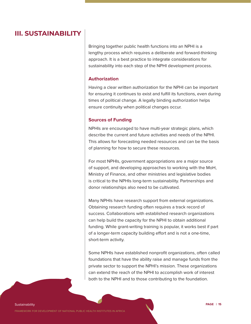### **III. SUSTAINABILITY**

Bringing together public health functions into an NPHI is a lengthy process which requires a deliberate and forward-thinking approach. It is a best practice to integrate considerations for sustainability into each step of the NPHI development process.

### **Authorization**

Having a clear written authorization for the NPHI can be important for ensuring it continues to exist and fulfill its functions, even during times of political change. A legally binding authorization helps ensure continuity when political changes occur.

### **Sources of Funding**

NPHIs are encouraged to have multi-year strategic plans, which describe the current and future activities and needs of the NPHI. This allows for forecasting needed resources and can be the basis of planning for how to secure these resources.

For most NPHIs, government appropriations are a major source of support, and developing approaches to working with the MoH, Ministry of Finance, and other ministries and legislative bodies is critical to the NPHIs long-term sustainability. Partnerships and donor relationships also need to be cultivated.

Many NPHIs have research support from external organizations. Obtaining research funding often requires a track record of success. Collaborations with established research organizations can help build the capacity for the NPHI to obtain additional funding. While grant-writing training is popular, it works best if part of a longer-term capacity building effort and is not a one-time, short-term activity.

Some NPHIs have established nonprofit organizations, often called foundations that have the ability raise and manage funds from the private sector to support the NPHI's mission. These organizations can extend the reach of the NPHI to accomplish work of interest both to the NPHI and to those contributing to the foundation.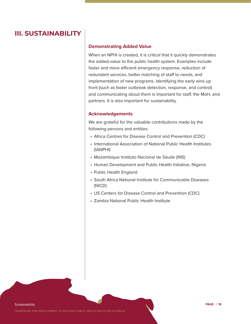### **III. SUSTAINABILITY**

### **Demonstrating Added Value**

When an NPHI is created, it is critical that it quickly demonstrates the added-value to the public health system. Examples include faster and more efficient emergency response, reduction of redundant services, better matching of staff to needs, and implementation of new programs. Identifying the early wins up front (such as faster outbreak detection, response, and control) and communicating about them is important for staff, the MoH, and partners. It is also important for sustainability.

### **Acknowledgements**

We are grateful for the valuable contributions made by the following persons and entities:

- Africa Centres for Disease Control and Prevention (CDC)
- International Association of National Public Health Institutes (IANPHI)
- Mozambique Instituto Nacional de Sáude (INS)
- Human Development and Public Health Initiative, Nigeria
- Public Health England
- South Africa National Institute for Communicable Diseases (NICD)
- US Centers for Disease Control and Prevention (CDC)
- Zambia National Public Health Institute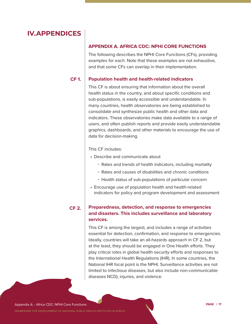### **APPENDIX A. AFRICA CDC: NPHI CORE FUNCTIONS**

The following describes the NPHI Core Functions (CFs), providing examples for each. Note that these examples are not exhaustive, and that some CFs can overlap in their implementation.

#### **Population health and health-related indicators CF 1.**

This CF is about ensuring that information about the overall health status in the country, and about specific conditions and sub-populations, is easily accessible and understandable. In many countries, health observatories are being established to consolidate and synthesize public health and other data and indicators. These observatories make data available to a range of users, and often publish reports and provide easily understandable graphics, dashboards, and other materials to encourage the use of data for decision-making.

### This CF includes:

- Describe and communicate about
	- Rates and trends of health indicators, including mortality
	- Rates and causes of disabilities and chronic conditions
	- Health status of sub-populations of particular concern
- Encourage use of population health and health-related indicators for policy and program development and assessment

#### **Preparedness, detection, and response to emergencies and disasters. This includes surveillance and laboratory services. CF 2.**

This CF is among the largest, and includes a range of activities essential for detection, confirmation, and response to emergencies. Ideally, countries will take an all-hazards approach in CF 2, but at the least, they should be engaged in One Health efforts. They play critical roles in global health security efforts and responses to the International Health Regulations (IHR). In some countries, the National IHR focal point is the NPHI. Surveillance activities are not limited to infectious diseases, but also include non-communicable diseases NCD), injuries, and violence.

Appendix A. - Africa CDC: NPHI Core Functions **PAGE | 17**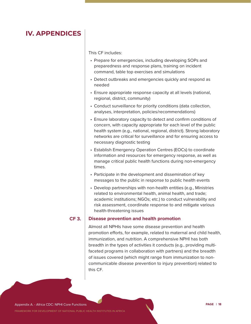This CF includes:

times.

| • Prepare for emergencies, including developing SOPs and<br>preparedness and response plans, training on incident<br>command, table top exercises and simulations                                                                                                                                                 |
|-------------------------------------------------------------------------------------------------------------------------------------------------------------------------------------------------------------------------------------------------------------------------------------------------------------------|
| • Detect outbreaks and emergencies quickly and respond as<br>needed                                                                                                                                                                                                                                               |
| • Ensure appropriate response capacity at all levels (national,<br>regional, district, community)                                                                                                                                                                                                                 |
| • Conduct surveillance for priority conditions (data collection,<br>analyses, interpretation, policies/recommendations)                                                                                                                                                                                           |
| • Ensure laboratory capacity to detect and confirm conditions of<br>concern, with capacity appropriate for each level of the public<br>health system (e.g., national, regional, district). Strong laboratory<br>networks are critical for surveillance and for ensuring access to<br>necessary diagnostic testing |
| • Establish Emergency Operation Centres (EOCs) to coordinate<br>information and resources for emergency response, as well as<br>manage critical public health functions during non-emergency                                                                                                                      |

- Participate in the development and dissemination of key messages to the public in response to public health events
- Develop partnerships with non-health entities (e.g., Ministries related to environmental health, animal health, and trade; academic institutions; NGOs; etc.) to conduct vulnerability and risk assessment, coordinate response to and mitigate various health-threatening issues

#### **Disease prevention and health promotion CF 3.**

Almost all NPHIs have some disease prevention and health promotion efforts, for example, related to maternal and child health, immunization, and nutrition. A comprehensive NPHI has both breadth in the types of activities it conducts (e.g., providing multifaceted programs in collaboration with partners) and the breadth of issues covered (which might range from immunization to noncommunicable disease prevention to injury prevention) related to this CF.

Appendix A. - Africa CDC: NPHI Core Functions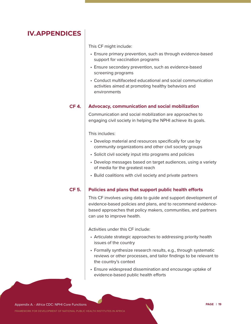This CF might include:

- Ensure primary prevention, such as through evidence-based support for vaccination programs
- Ensure secondary prevention, such as evidence-based screening programs
- Conduct multifaceted educational and social communication activities aimed at promoting healthy behaviors and environments

#### **Advocacy, communication and social mobilization CF 4.**

Communication and social mobilization are approaches to engaging civil society in helping the NPHI achieve its goals.

This includes:

- Develop material and resources specifically for use by community organizations and other civil society groups
- Solicit civil society input into programs and policies
- Develop messages based on target audiences, using a variety of media for the greatest reach
- Build coalitions with civil society and private partners

#### **Policies and plans that support public health efforts CF 5.**

This CF involves using data to guide and support development of evidence-based policies and plans, and to recommend evidencebased approaches that policy makers, communities, and partners can use to improve health.

Activities under this CF include:

- Articulate strategic approaches to addressing priority health issues of the country
- Formally synthesize research results, e.g., through systematic reviews or other processes, and tailor findings to be relevant to the country's context
- Ensure widespread dissemination and encourage uptake of evidence-based public health efforts

Appendix A. - Africa CDC: NPHI Core Functions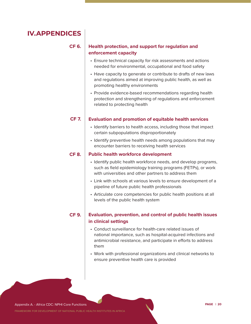**CF 6.**

### **Health protection, and support for regulation and enforcement capacity**

- Ensure technical capacity for risk assessments and actions needed for environmental, occupational and food safety
- Have capacity to generate or contribute to drafts of new laws and regulations aimed at improving public health, as well as promoting healthy environments
- Provide evidence-based recommendations regarding health protection and strengthening of regulations and enforcement related to protecting health

#### **Evaluation and promotion of equitable health services CF 7.**

- Identify barriers to health access, including those that impact certain subpopulations disproportionately
- Identify preventive health needs among populations that may encounter barriers to receiving health services

#### **Public health workforce development CF 8.**

- Identify public health workforce needs, and develop programs, such as field epidemiology training programs (FETPs), or work with universities and other partners to address them
- Link with schools at various levels to ensure development of a pipeline of future public health professionals
- Articulate core competencies for public health positions at all levels of the public health system

**CF 9.**

### **Evaluation, prevention, and control of public health issues in clinical settings**

- Conduct surveillance for health-care related issues of national importance, such as hospital-acquired infections and antimicrobial resistance, and participate in efforts to address them
- Work with professional organizations and clinical networks to ensure preventive health care is provided

Appendix A. - Africa CDC: NPHI Core Functions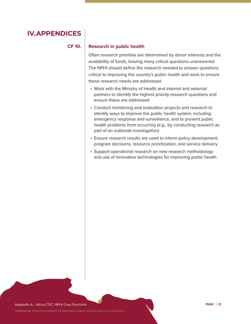### **CF 10.**

### **Research in public health**

Often research priorities are determined by donor interests and the availability of funds, leaving many critical questions unanswered. The NPHI should define the research needed to answer questions critical to improving the country's public health and work to ensure these research needs are addressed.

- Work with the Ministry of Health and internal and external partners to identify the highest priority research questions and ensure these are addressed
- Conduct monitoring and evaluation projects and research to identify ways to improve the public health system, including emergency response and surveillance, and to prevent public health problems from occurring (e.g., by conducting research as part of an outbreak investigation)
- Ensure research results are used to inform policy development, program decisions, resource prioritization, and service delivery
- Support operational research on new research methodology and use of innovative technologies for improving public health

Appendix A. - Africa CDC: NPHI Core Functions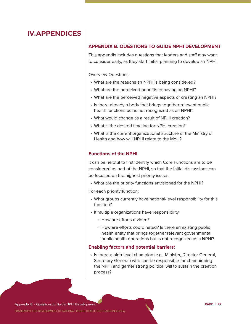### **APPENDIX B. QUESTIONS TO GUIDE NPHI DEVELOPMENT**

This appendix includes questions that leaders and staff may want to consider early, as they start initial planning to develop an NPHI.

Overview Questions

- What are the reasons an NPHI is being considered?
- What are the perceived benefits to having an NPHI?
- What are the perceived negative aspects of creating an NPHI?
- Is there already a body that brings together relevant public health functions but is not recognized as an NPHI?
- What would change as a result of NPHI creation?
- What is the desired timeline for NPHI creation?
- What is the current organizational structure of the Ministry of Health and how will NPHI relate to the MoH?

### **Functions of the NPHI**

It can be helpful to first identify which Core Functions are to be considered as part of the NPHI, so that the initial discussions can be focused on the highest priority issues.

• What are the priority functions envisioned for the NPHI?

For each priority function:

- What groups currently have national-level responsibility for this function?
- If multiple organizations have responsibility,
	- How are efforts divided?
	- How are efforts coordinated? Is there an existing public health entity that brings together relevant governmental public health operations but is not recognized as a NPHI?

### **Enabling factors and potential barriers:**

• Is there a high-level champion (e.g., Minister, Director General, Secretary General) who can be responsible for championing the NPHI and garner strong political will to sustain the creation process?

Appendix B. - Questions to Guide NPHI Development **PAGE | 22**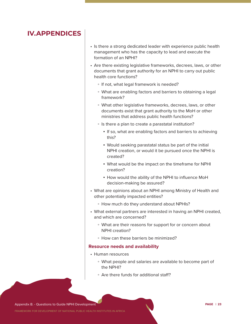- Is there a strong dedicated leader with experience public health management who has the capacity to lead and execute the formation of an NPHI?
- Are there existing legislative frameworks, decrees, laws, or other documents that grant authority for an NPHI to carry out public health core functions?
	- If not, what legal framework is needed?
	- What are enabling factors and barriers to obtaining a legal framework?
	- What other legislative frameworks, decrees, laws, or other documents exist that grant authority to the MoH or other ministries that address public health functions?
	- Is there a plan to create a parastatal institution?
		- **.** If so, what are enabling factors and barriers to achieving this?
		- Would seeking parastatal status be part of the initial NPHI creation, or would it be pursued once the NPHI is created?
		- What would be the impact on the timeframe for NPHI creation?
		- **.** How would the ability of the NPHI to influence MoH decision-making be assured?
- What are opinions about an NPHI among Ministry of Health and other potentially impacted entities?
	- How much do they understand about NPHIs?
- What external partners are interested in having an NPHI created, and which are concerned?
	- What are their reasons for support for or concern about NPHI creation?
	- How can these barriers be minimized?

#### **Resource needs and availability**

- Human resources
	- What people and salaries are available to become part of the NPHI?
	- Are there funds for additional staff?

Appendix B. - Questions to Guide NPHI Development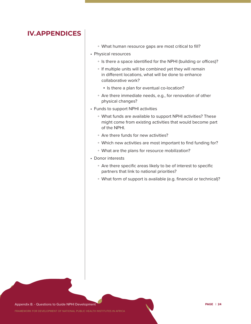| • What human resource gaps are most critical to fill?                                                                                      |
|--------------------------------------------------------------------------------------------------------------------------------------------|
| • Physical resources                                                                                                                       |
| • Is there a space identified for the NPHI (building or offices)?                                                                          |
| • If multiple units will be combined yet they will remain<br>in different locations, what will be done to enhance<br>collaborative work?   |
| • Is there a plan for eventual co-location?                                                                                                |
| • Are there immediate needs, e.g., for renovation of other<br>physical changes?                                                            |
| • Funds to support NPHI activities                                                                                                         |
| • What funds are available to support NPHI activities? These<br>might come from existing activities that would become part<br>of the NPHI. |
| • Are there funds for new activities?                                                                                                      |
| • Which new activities are most important to find funding for?                                                                             |
| • What are the plans for resource mobilization?                                                                                            |
| • Donor interests                                                                                                                          |
| • Are there specific areas likely to be of interest to specific<br>partners that link to national priorities?                              |
| • What form of support is available (e.g. financial or technical)?                                                                         |
|                                                                                                                                            |
|                                                                                                                                            |

Appendix B. - Questions to Guide NPHI Development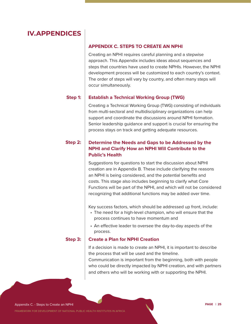### **APPENDIX C. STEPS TO CREATE AN NPHI**

Creating an NPHI requires careful planning and a stepwise approach. This Appendix includes ideas about sequences and steps that countries have used to create NPHIs. However, the NPHI development process will be customized to each country's context. The order of steps will vary by country, and often many steps will occur simultaneously.

#### **Establish a Technical Working Group (TWG) Step 1:**

Creating a Technical Working Group (TWG) consisting of individuals from multi-sectoral and multidisciplinary organizations can help support and coordinate the discussions around NPHI formation. Senior leadership guidance and support is crucial for ensuring the process stays on track and getting adequate resources.

#### **Determine the Needs and Gaps to be Addressed by the NPHI and Clarify How an NPHI Will Contribute to the Public's Health Step 2:**

Suggestions for questions to start the discussion about NPHI creation are in Appendix B. These include clarifying the reasons an NPHI is being considered, and the potential benefits and costs. This stage also includes beginning to clarify what Core Functions will be part of the NPHI, and which will not be considered recognizing that additional functions may be added over time.

Key success factors, which should be addressed up front, include:

- The need for a high-level champion, who will ensure that the process continues to have momentum and
- An effective leader to oversee the day-to-day aspects of the process.

#### **Step 3:**

### **Create a Plan for NPHI Creation**

If a decision is made to create an NPHI, it is important to describe the process that will be used and the timeline.

Communication is important from the beginning, both with people who could be directly impacted by NPHI creation, and with partners and others who will be working with or supporting the NPHI.

Appendix C. - Steps to Create an NPHI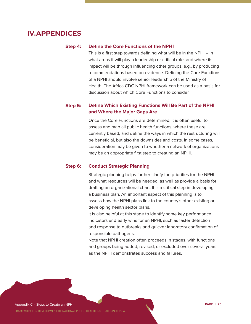#### **Step 4:**

### **Define the Core Functions of the NPHI**

This is a first step towards defining what will be in the NPHI – in what areas it will play a leadership or critical role, and where its impact will be through influencing other groups, e.g., by producing recommendations based on evidence. Defining the Core Functions of a NPHI should involve senior leadership of the Ministry of Health. The Africa CDC NPHI framework can be used as a basis for discussion about which Core Functions to consider.

#### **Define Which Existing Functions Will Be Part of the NPHI and Where the Major Gaps Are Step 5:**

Once the Core Functions are determined, it is often useful to assess and map all public health functions, where these are currently based, and define the ways in which the restructuring will be beneficial, but also the downsides and costs. In some cases, consideration may be given to whether a network of organizations may be an appropriate first step to creating an NPHI.

#### **Conduct Strategic Planning Step 6:**

Strategic planning helps further clarify the priorities for the NPHI and what resources will be needed, as well as provide a basis for drafting an organizational chart. It is a critical step in developing a business plan. An important aspect of this planning is to assess how the NPHI plans link to the country's other existing or developing health sector plans.

It is also helpful at this stage to identify some key performance indicators and early wins for an NPHI, such as faster detection and response to outbreaks and quicker laboratory confirmation of responsible pathogens.

Note that NPHI creation often proceeds in stages, with functions and groups being added, revised, or excluded over several years as the NPHI demonstrates success and failures.

Appendix C. - Steps to Create an NPHI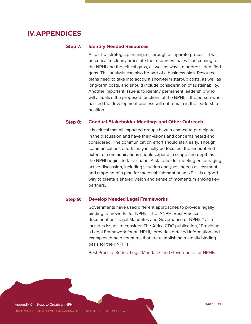### **Step 7:**

#### **Identify Needed Resources**

As part of strategic planning, or through a separate process, it will be critical to clearly articulate the resources that will be coming to the NPHI and the critical gaps, as well as ways to address identified gaps. This analysis can also be part of a business plan. Resource plans need to take into account short-term start-up costs, as well as long-term costs, and should include consideration of sustainability. Another important issue is to identify permanent leadership who will actualize the proposed functions of the NPHI, if the person who has led the development process will not remain in the leadership position.

#### **Conduct Stakeholder Meetings and Other Outreach Step 8:**

It is critical that all impacted groups have a chance to participate in the discussion and have their visions and concerns heard and considered. The communication effort should start early. Though communications efforts may initially be focused, the amount and extent of communications should expand in scope and depth as the NPHI begins to take shape. A stakeholder meeting encouraging active discussion, including situation analyses, needs assessment and mapping of a plan for the establishment of an NPHI, is a good way to create a shared vision and sense of momentum among key partners.

#### **Develop Needed Legal Frameworks Step 9:**

Governments have used different approaches to provide legally binding frameworks for NPHIs. The IANPHI Best Practices document on "Legal Mandates and Governance or NPHIs," also includes issues to consider. The Africa CDC publication, "Providing a Legal Framework for an NPHI," provides detailed information and examples to help countires that are establishing a legally binding basis for their NPHIs.

Best Practice Series: Legal Mandates and Governance for NPHIs

Appendix C. - Steps to Create an NPHI